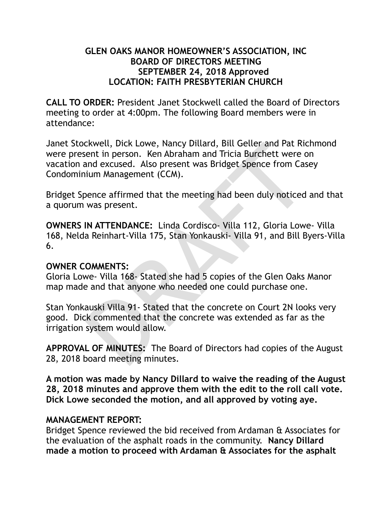#### **GLEN OAKS MANOR HOMEOWNER'S ASSOCIATION, INC BOARD OF DIRECTORS MEETING SEPTEMBER 24, 2018 Approved LOCATION: FAITH PRESBYTERIAN CHURCH**

**CALL TO ORDER:** President Janet Stockwell called the Board of Directors meeting to order at 4:00pm. The following Board members were in attendance:

CRIMIC UNIVERSITY ON DIRAFTA SIL GENERAL MINOROTED AND MORE THE MORAL MORAL MORAL MINOROTED COMMENTS:<br>
DRAFTATION AND A SUPER THE MINOROTED MINOROTED CONDUCTS ON THE MINOROTED WAS PRESENT.<br>
IN ATTENDANCE: Linda Cordisco- V Janet Stockwell, Dick Lowe, Nancy Dillard, Bill Geller and Pat Richmond were present in person. Ken Abraham and Tricia Burchett were on vacation and excused. Also present was Bridget Spence from Casey Condominium Management (CCM).

Bridget Spence affirmed that the meeting had been duly noticed and that a quorum was present.

**OWNERS IN ATTENDANCE:** Linda Cordisco- Villa 112, Gloria Lowe- Villa 168, Nelda Reinhart-Villa 175, Stan Yonkauski- Villa 91, and Bill Byers-Villa 6.

#### **OWNER COMMENTS:**

Gloria Lowe- Villa 168- Stated she had 5 copies of the Glen Oaks Manor map made and that anyone who needed one could purchase one.

Stan Yonkauski Villa 91- Stated that the concrete on Court 2N looks very good. Dick commented that the concrete was extended as far as the irrigation system would allow.

**APPROVAL OF MINUTES:** The Board of Directors had copies of the August 28, 2018 board meeting minutes.

**A motion was made by Nancy Dillard to waive the reading of the August 28, 2018 minutes and approve them with the edit to the roll call vote. Dick Lowe seconded the motion, and all approved by voting aye.** 

### **MANAGEMENT REPORT:**

Bridget Spence reviewed the bid received from Ardaman & Associates for the evaluation of the asphalt roads in the community. **Nancy Dillard made a motion to proceed with Ardaman & Associates for the asphalt**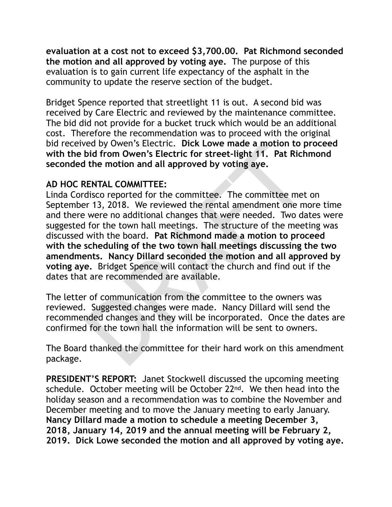**evaluation at a cost not to exceed \$3,700.00. Pat Richmond seconded the motion and all approved by voting aye.** The purpose of this evaluation is to gain current life expectancy of the asphalt in the community to update the reserve section of the budget.

Bridget Spence reported that streetlight 11 is out. A second bid was received by Care Electric and reviewed by the maintenance committee. The bid did not provide for a bucket truck which would be an additional cost. Therefore the recommendation was to proceed with the original bid received by Owen's Electric. **Dick Lowe made a motion to proceed with the bid from Owen's Electric for street-light 11. Pat Richmond seconded the motion and all approved by voting aye.** 

## **AD HOC RENTAL COMMITTEE:**

bed by Uwen's Electric. Dick Lowe made a motion to p<br>bid from Owen's Electric. Dick Lowe made a motion to p<br>bid from Owen's Electric for street-light 11. Pat Rich<br>the motion and all approved by voting aye.<br>RENTAL COMMITTEE Linda Cordisco reported for the committee. The committee met on September 13, 2018. We reviewed the rental amendment one more time and there were no additional changes that were needed. Two dates were suggested for the town hall meetings. The structure of the meeting was discussed with the board. **Pat Richmond made a motion to proceed with the scheduling of the two town hall meetings discussing the two amendments. Nancy Dillard seconded the motion and all approved by voting aye.** Bridget Spence will contact the church and find out if the dates that are recommended are available.

The letter of communication from the committee to the owners was reviewed. Suggested changes were made. Nancy Dillard will send the recommended changes and they will be incorporated. Once the dates are confirmed for the town hall the information will be sent to owners.

The Board thanked the committee for their hard work on this amendment package.

**PRESIDENT'S REPORT:** Janet Stockwell discussed the upcoming meeting schedule. October meeting will be October 22<sup>nd</sup>. We then head into the holiday season and a recommendation was to combine the November and December meeting and to move the January meeting to early January. **Nancy Dillard made a motion to schedule a meeting December 3, 2018, January 14, 2019 and the annual meeting will be February 2, 2019. Dick Lowe seconded the motion and all approved by voting aye.**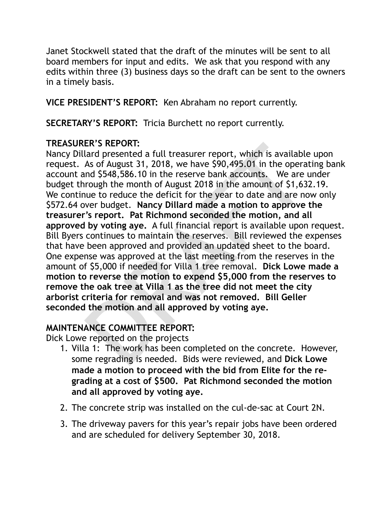Janet Stockwell stated that the draft of the minutes will be sent to all board members for input and edits. We ask that you respond with any edits within three (3) business days so the draft can be sent to the owners in a timely basis.

**VICE PRESIDENT'S REPORT:** Ken Abraham no report currently.

**SECRETARY'S REPORT:** Tricia Burchett no report currently.

# **TREASURER'S REPORT:**

ER'S REPORT:<br>
Lard presented a full treasurer report, which is available<br>
lard presented a full treasurer report, which is available<br>
As of August 31, 2018, we have \$90,495.01 in the opera<br>
and \$548,586.10 in the reserve b Nancy Dillard presented a full treasurer report, which is available upon request. As of August 31, 2018, we have \$90,495.01 in the operating bank account and \$548,586.10 in the reserve bank accounts. We are under budget through the month of August 2018 in the amount of \$1,632.19. We continue to reduce the deficit for the year to date and are now only \$572.64 over budget. **Nancy Dillard made a motion to approve the treasurer's report. Pat Richmond seconded the motion, and all approved by voting aye.** A full financial report is available upon request. Bill Byers continues to maintain the reserves. Bill reviewed the expenses that have been approved and provided an updated sheet to the board. One expense was approved at the last meeting from the reserves in the amount of \$5,000 if needed for Villa 1 tree removal. **Dick Lowe made a motion to reverse the motion to expend \$5,000 from the reserves to remove the oak tree at Villa 1 as the tree did not meet the city arborist criteria for removal and was not removed. Bill Geller seconded the motion and all approved by voting aye.** 

# **MAINTENANCE COMMITTEE REPORT:**

Dick Lowe reported on the projects

- 1. Villa 1: The work has been completed on the concrete. However, some regrading is needed. Bids were reviewed, and **Dick Lowe made a motion to proceed with the bid from Elite for the regrading at a cost of \$500. Pat Richmond seconded the motion and all approved by voting aye.**
- 2. The concrete strip was installed on the cul-de-sac at Court 2N.
- 3. The driveway pavers for this year's repair jobs have been ordered and are scheduled for delivery September 30, 2018.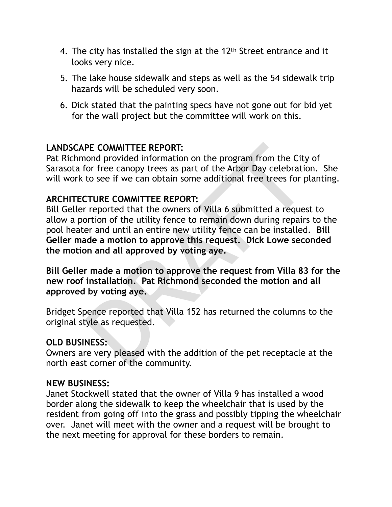- 4. The city has installed the sign at the 12th Street entrance and it looks very nice.
- 5. The lake house sidewalk and steps as well as the 54 sidewalk trip hazards will be scheduled very soon.
- 6. Dick stated that the painting specs have not gone out for bid yet for the wall project but the committee will work on this.

# **LANDSCAPE COMMITTEE REPORT:**

Pat Richmond provided information on the program from the City of Sarasota for free canopy trees as part of the Arbor Day celebration. She will work to see if we can obtain some additional free trees for planting.

## **ARCHITECTURE COMMITTEE REPORT:**

**PE COMMITTEE REPORT:**<br>
Decomption on the program from the City<br>
for free canopy trees as part of the Arbor Day celebratic<br>
to see if we can obtain some additional free trees for p<br>
CTURE COMMITTEE REPORT:<br>
IT reported tha Bill Geller reported that the owners of Villa 6 submitted a request to allow a portion of the utility fence to remain down during repairs to the pool heater and until an entire new utility fence can be installed. **Bill Geller made a motion to approve this request. Dick Lowe seconded the motion and all approved by voting aye.** 

**Bill Geller made a motion to approve the request from Villa 83 for the new roof installation. Pat Richmond seconded the motion and all approved by voting aye.** 

Bridget Spence reported that Villa 152 has returned the columns to the original style as requested.

### **OLD BUSINESS:**

Owners are very pleased with the addition of the pet receptacle at the north east corner of the community.

### **NEW BUSINESS:**

Janet Stockwell stated that the owner of Villa 9 has installed a wood border along the sidewalk to keep the wheelchair that is used by the resident from going off into the grass and possibly tipping the wheelchair over. Janet will meet with the owner and a request will be brought to the next meeting for approval for these borders to remain.